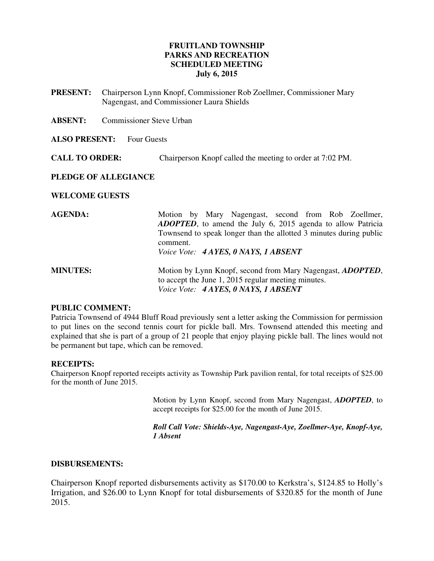# **FRUITLAND TOWNSHIP PARKS AND RECREATION SCHEDULED MEETING July 6, 2015**

- **PRESENT:** Chairperson Lynn Knopf, Commissioner Rob Zoellmer, Commissioner Mary Nagengast, and Commissioner Laura Shields
- **ABSENT:** Commissioner Steve Urban

#### **ALSO PRESENT:** Four Guests

**CALL TO ORDER:** Chairperson Knopf called the meeting to order at 7:02 PM.

### **PLEDGE OF ALLEGIANCE**

### **WELCOME GUESTS**

| <b>AGENDA:</b>  | Motion by Mary Nagengast, second from Rob Zoellmer,<br><b>ADOPTED</b> , to amend the July 6, 2015 agenda to allow Patricia<br>Townsend to speak longer than the allotted 3 minutes during public                      |
|-----------------|-----------------------------------------------------------------------------------------------------------------------------------------------------------------------------------------------------------------------|
| <b>MINUTES:</b> | comment.<br>Voice Vote: 4 AYES, 0 NAYS, 1 ABSENT<br>Motion by Lynn Knopf, second from Mary Nagengast, <i>ADOPTED</i> ,<br>to accept the June 1, 2015 regular meeting minutes.<br>Voice Vote: 4 AYES, 0 NAYS, 1 ABSENT |

### **PUBLIC COMMENT:**

Patricia Townsend of 4944 Bluff Road previously sent a letter asking the Commission for permission to put lines on the second tennis court for pickle ball. Mrs. Townsend attended this meeting and explained that she is part of a group of 21 people that enjoy playing pickle ball. The lines would not be permanent but tape, which can be removed.

#### **RECEIPTS:**

Chairperson Knopf reported receipts activity as Township Park pavilion rental, for total receipts of \$25.00 for the month of June 2015.

> Motion by Lynn Knopf, second from Mary Nagengast, *ADOPTED*, to accept receipts for \$25.00 for the month of June 2015.

> *Roll Call Vote: Shields-Aye, Nagengast-Aye, Zoellmer-Aye, Knopf-Aye, 1 Absent*

#### **DISBURSEMENTS:**

Chairperson Knopf reported disbursements activity as \$170.00 to Kerkstra's, \$124.85 to Holly's Irrigation, and \$26.00 to Lynn Knopf for total disbursements of \$320.85 for the month of June 2015.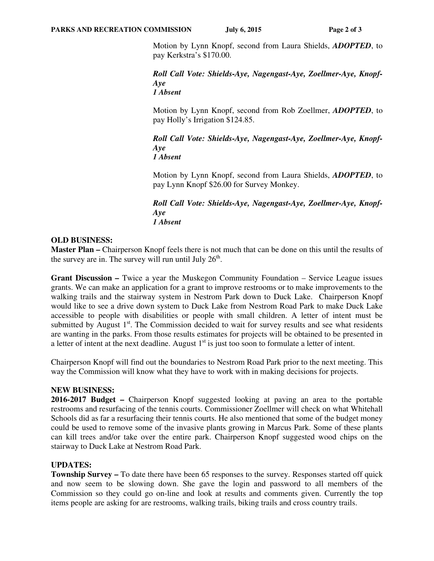Motion by Lynn Knopf, second from Laura Shields, *ADOPTED*, to pay Kerkstra's \$170.00.

*Roll Call Vote: Shields-Aye, Nagengast-Aye, Zoellmer-Aye, Knopf-Aye 1 Absent* 

Motion by Lynn Knopf, second from Rob Zoellmer, *ADOPTED*, to pay Holly's Irrigation \$124.85.

*Roll Call Vote: Shields-Aye, Nagengast-Aye, Zoellmer-Aye, Knopf-Aye 1 Absent*

Motion by Lynn Knopf, second from Laura Shields, *ADOPTED*, to pay Lynn Knopf \$26.00 for Survey Monkey.

*Roll Call Vote: Shields-Aye, Nagengast-Aye, Zoellmer-Aye, Knopf-Aye 1 Absent*

# **OLD BUSINESS:**

**Master Plan –** Chairperson Knopf feels there is not much that can be done on this until the results of the survey are in. The survey will run until July  $26<sup>th</sup>$ .

**Grant Discussion –** Twice a year the Muskegon Community Foundation – Service League issues grants. We can make an application for a grant to improve restrooms or to make improvements to the walking trails and the stairway system in Nestrom Park down to Duck Lake. Chairperson Knopf would like to see a drive down system to Duck Lake from Nestrom Road Park to make Duck Lake accessible to people with disabilities or people with small children. A letter of intent must be submitted by August  $1<sup>st</sup>$ . The Commission decided to wait for survey results and see what residents are wanting in the parks. From those results estimates for projects will be obtained to be presented in a letter of intent at the next deadline. August  $1<sup>st</sup>$  is just too soon to formulate a letter of intent.

Chairperson Knopf will find out the boundaries to Nestrom Road Park prior to the next meeting. This way the Commission will know what they have to work with in making decisions for projects.

# **NEW BUSINESS:**

**2016-2017 Budget –** Chairperson Knopf suggested looking at paving an area to the portable restrooms and resurfacing of the tennis courts. Commissioner Zoellmer will check on what Whitehall Schools did as far a resurfacing their tennis courts. He also mentioned that some of the budget money could be used to remove some of the invasive plants growing in Marcus Park. Some of these plants can kill trees and/or take over the entire park. Chairperson Knopf suggested wood chips on the stairway to Duck Lake at Nestrom Road Park.

# **UPDATES:**

**Township Survey –** To date there have been 65 responses to the survey. Responses started off quick and now seem to be slowing down. She gave the login and password to all members of the Commission so they could go on-line and look at results and comments given. Currently the top items people are asking for are restrooms, walking trails, biking trails and cross country trails.